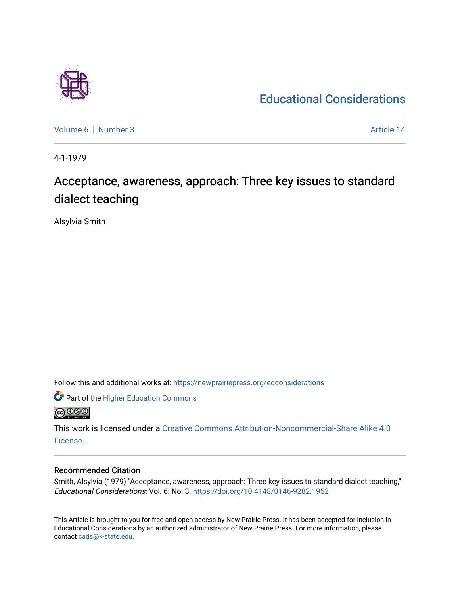# [Educational Considerations](https://newprairiepress.org/edconsiderations)

[Volume 6](https://newprairiepress.org/edconsiderations/vol6) | [Number 3](https://newprairiepress.org/edconsiderations/vol6/iss3) Article 14

4-1-1979

# Acceptance, awareness, approach: Three key issues to standard dialect teaching

Alsylvia Smith

Follow this and additional works at: [https://newprairiepress.org/edconsiderations](https://newprairiepress.org/edconsiderations?utm_source=newprairiepress.org%2Fedconsiderations%2Fvol6%2Fiss3%2F14&utm_medium=PDF&utm_campaign=PDFCoverPages) 

Part of the [Higher Education Commons](http://network.bepress.com/hgg/discipline/1245?utm_source=newprairiepress.org%2Fedconsiderations%2Fvol6%2Fiss3%2F14&utm_medium=PDF&utm_campaign=PDFCoverPages)  **@** 00

This work is licensed under a [Creative Commons Attribution-Noncommercial-Share Alike 4.0](https://creativecommons.org/licenses/by-nc-sa/4.0/) [License.](https://creativecommons.org/licenses/by-nc-sa/4.0/)

# Recommended Citation

Smith, Alsylvia (1979) "Acceptance, awareness, approach: Three key issues to standard dialect teaching," Educational Considerations: Vol. 6: No. 3.<https://doi.org/10.4148/0146-9282.1952>

This Article is brought to you for free and open access by New Prairie Press. It has been accepted for inclusion in Educational Considerations by an authorized administrator of New Prairie Press. For more information, please contact [cads@k-state.edu](mailto:cads@k-state.edu).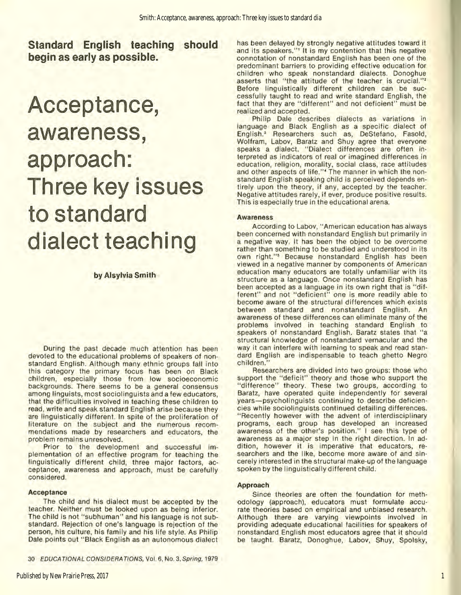**Standard English teaching should begin as early as possible.** 

# **Acceptance, awareness, approach: Three key issues to standard dialect teaching**

## by Alsylvia Smith

During the past decade much attention has been devoted to the educational problems of speakers of nonstandard English. Although many ethnic groups fall into this category the primary focus has been on Black children, especially those from low socioeconomic backgrounds. There seems to be a general consensus among linguists, most sociolinguists and a few educators, that the difficulties involved in teaching these children to read, write and speak standard English arise because they are linguistically different. In spite of the proliferation of literature on the subject and the numerous recommendations made by researchers and educators, the problem remains unresolved.

Prior to the development and successful implementation of an effective program for teaching the linguistically different child, three major factors, acceptance, awareness and approach, must be carefully considered.

### Acceptance

The child and his dialect must be accepted by the teacher. Neither must be looked upon as being inferior. The child is not "subhuman" and his language is not sub· standard. Rejection of one's language is rejection of the person, his culture, his family and his life style. As Philip Dale points out "Black English as an autonomous dialect

30 EOUCA TIONAL CONS/OE RATIONS, Vol. 6, No. 3. Spring, 1979

has been delayed by strongly negative attitudes toward it and its speakers."<sup>1</sup> It is my contention that this negative connotation of nonstandard English has been one of the predominant barriers to providing effective education for children who speak nonstandard dialects. Donoghue asserts that "the attitude of the teacher is crucial."<sup>2</sup> Before linguistically different children can be successfully taught to read and write standard English, the fact that they are "different" and not deficient'' must be realized and accepted.

Philip Dale describes dialects as variations in language and Black English as a specific dialect of English.' Researchers such as, Destefano, Fasold, Wolfram, Labov, Baratz and Shuy agree that everyone speaks a dialect. "Dialect differences are often interpreted as indicators of real or imagined differences in education, religion, morality, social class, race attitudes and other aspects of life."<sup>4</sup> The manner in which the nonstandard English speaking child is perceived depends entirely upon the theory, If any, accepted by the teacher. Negative attitudes rarely, if ever, produce positive results. This is especially true in the educational arena.

#### **Awareness**

According to Labov, "American education has always been concerned with nonstandard English but primarily in a negative way. It has been the object to be overcome rather than something to be studied and understood in its own right."<sup>5</sup> Because nonstandard English has been viewed in a negative manner by components of American education many educators are totally unfamiliar with its structure as a language. Once nonstandard English has been accepted as a language in its own right that is "dif· ferent" and not "deficient" one is more readily able to become aware of the structural differences which exists between standard and nonstandard English. An awareness of these differences can eliminate many of the problems involved in teaching standard English to speakers of nonstandard English. Baratz states that "a structural knowledge of nonstandard vernacular and the way it can interfere with learning to speak and read stan· dard English are indispensable to teach ghetto Negro children.''

Researchers are divided into two groups: those who support the "deficit" theory and those who support the "difference" theory. These two groups, according to Baratz, have operated quite independently for several years-psycholinguists continuing to describe deficiencies while sociolinguists continued detailing differences. " Recently however with the advent of interdisciplinary programs, each group has developed an increased awareness of the other's position." I see this type of awareness as a major step in the right direction. In addition, however it is imperative that educators, re· searchers and the like, become more aware of and sincerely interested in the structural make-up of the language spoken by the linguistically different child.

#### Approach

Since theories are often the foundation for meth· odology (approach), educators must formulate accu· rate theories based on empirical and unbiased research. Although there are varying viewpoints involved in providing adequate educational facilities for speakers of nonstandard English most educators agree that it should be taught. Baratz, Donoghue, Labov, Shuy, Spolsky,